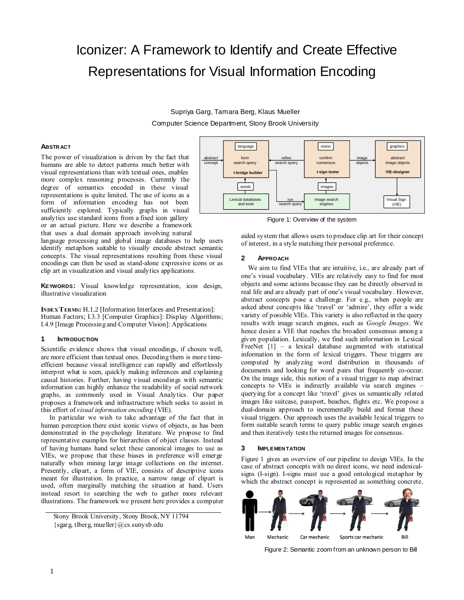# Iconizer: A Framework to Identify and Create Effective Representations for Visual Information Encoding

Supriya Garg, Tamara Berg, Klaus Mueller Computer Science Department, Stony Brook University

## **ABSTR ACT**

The power of visualization is driven by the fact that humans are able to detect patterns much better with visual representations than with textual ones, enables more complex reasoning processes. Currently the degree of semantics encoded in these visual representations is quite limited. The use of icons as a form of information encoding has not been sufficiently explored. Typically graphs in visual analytics use standard icons from a fixed icon gallery or an actual picture. Here we describe a framework that uses a dual domain approach involving natural

language processing and global image databases to help users identify metaphors suitable to visually encode abstract semantic concepts. The visual representations resulting from these visual encodings can then be used as stand-alone expressive icons or as clip art in visualization and visual analytics applications.

**KEYWORDS:** Visual knowledge representation, icon design, illustrative visualization

**INDEX TERMS:** H.1.2 [Information Interfaces and Presentation]: Human Factors; I.3.3 [Computer Graphics]: Display Algorithms; I.4.9 [Image Processing and Computer Vision]: Applications

## **1 INTRODUCTION**

Scientific evidence shows that visual encodings, if chosen well, are more efficient than textual ones. Decoding them is more timeefficient because visual intelligence can rapidly and effortlessly interpret what is seen, quickly making inferences and explaining causal histories. Further, having visual encodings with semantic information can highly enhance the readability of social network graphs, as commonly used in Visual Analytics. Our paper proposes a framework and infrastructure which seeks to assist in this effort of *visual information encoding* (VIE).

 In particular we wish to take advantage of the fact that in human perception there exist iconic views of objects, as has been demonstrated in the psychology literature. We propose to find representative examples for hierarchies of object classes. Instead of having humans hand select these canonical images to use as VIEs, we propose that these biases in preference will emerge naturally when mining large image collections on the internet. Presently, clipart, a form of VIE, consists of descriptive icons meant for illustration. In practice, a narrow range of clipart is used, often marginally matching the situation at hand. Users instead resort to searching the web to gather more relevant illustrations. The framework we present here provides a computer



Figure 1: Overview of the system

aided system that allows users to produce clip art for their concept of interest, in a style matching their personal preference.

## **2 APPROACH**

We aim to find VIEs that are intuitive, i.e., are already part of one's visual vocabulary. VIEs are relatively easy to find for most objects and some actions because they can be directly observed in real life and are already part of one's visual vocabulary. However, abstract concepts pose a challenge. For e.g., when people are asked about concepts like 'travel' or 'admire', they offer a wide variety of possible VIEs. This variety is also reflected in the query results with image search engines, such as *Google Images*. We hence desire a VIE that reaches the broadest consensus among a given population. Lexically, we find such information in Lexical FreeNet [1] – a lexical database augmented with statistical information in the form of lexical triggers. These triggers are computed by analyzing word distribution in thousands of documents and looking for word pairs that frequently co-occur. On the image side, this notion of a visual trigger to map abstract concepts to VIEs is indirectly available via search engines – querying for a concept like 'travel' gives us semantically related images like suitcase, passport, beaches, flights etc. We propose a dual-domain approach to incrementally build and format these visual triggers. Our approach uses the available lexical triggers to form suitable search terms to query public image search engines and then iteratively tests the returned images for consensus.

#### **3 IMPLEMEN TATION**

Figure 1 gives an overview of our pipeline to design VIEs. In the case of abstract concepts with no direct icons, we need indexicalsigns (I-sign). I-signs must use a good ontological metaphor by which the abstract concept is represented as something concrete.



Figure 2: Semantic zoom from an unknown person to Bill

Stony Brook University, Stony Brook, NY 11794 {sgarg, tlberg, mueller}@cs.sunysb.edu